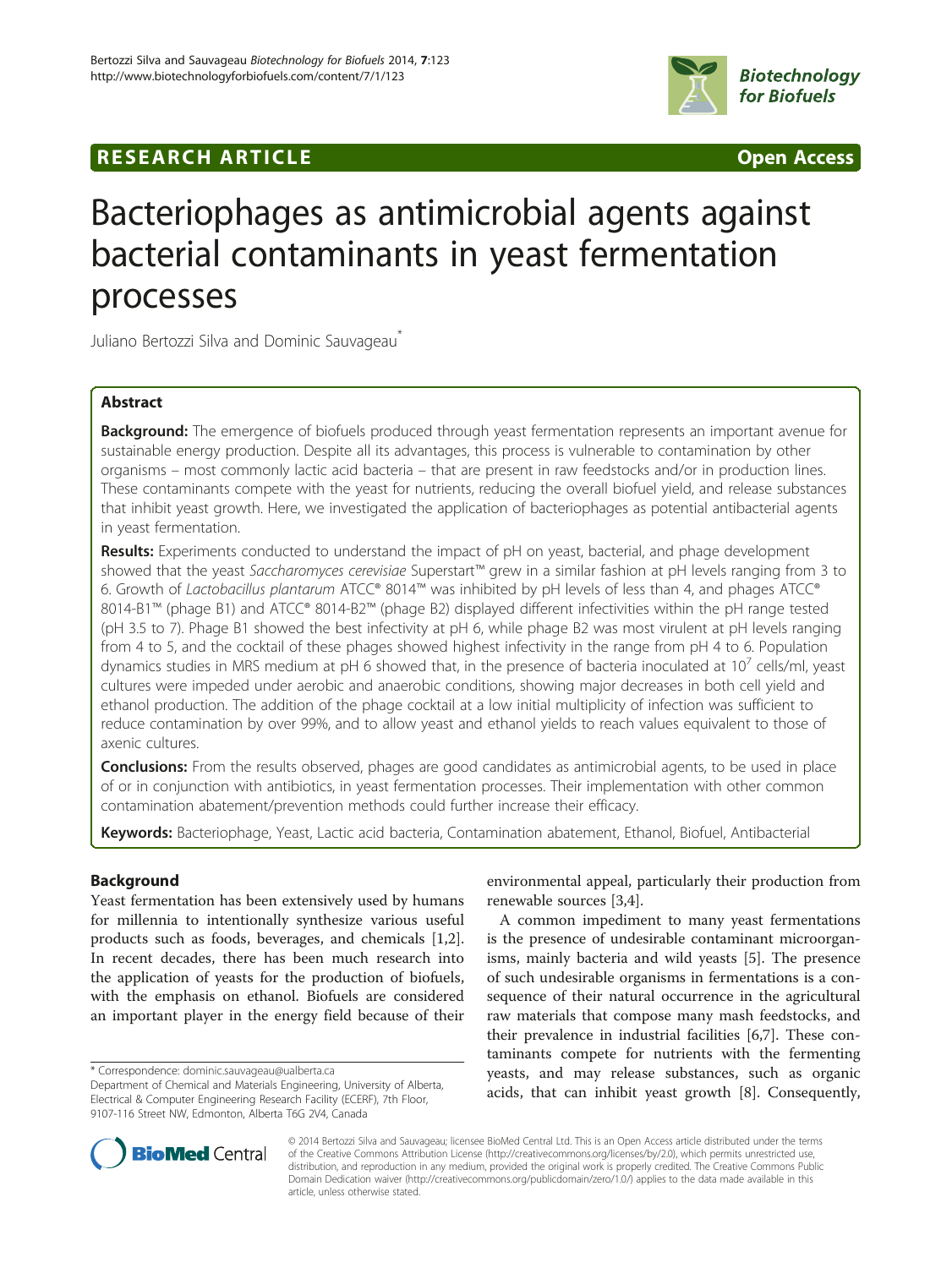

## **RESEARCH ARTICLE Example 2014 CONSIDERING CONSIDERING CONSIDERING CONSIDERING CONSIDERING CONSIDERING CONSIDERING CONSIDERING CONSIDERING CONSIDERING CONSIDERING CONSIDERING CONSIDERING CONSIDERING CONSIDERING CONSIDE**

# Bacteriophages as antimicrobial agents against bacterial contaminants in yeast fermentation processes

Juliano Bertozzi Silva and Dominic Sauvageau<sup>\*</sup>

## Abstract

Background: The emergence of biofuels produced through yeast fermentation represents an important avenue for sustainable energy production. Despite all its advantages, this process is vulnerable to contamination by other organisms – most commonly lactic acid bacteria – that are present in raw feedstocks and/or in production lines. These contaminants compete with the yeast for nutrients, reducing the overall biofuel yield, and release substances that inhibit yeast growth. Here, we investigated the application of bacteriophages as potential antibacterial agents in yeast fermentation.

Results: Experiments conducted to understand the impact of pH on yeast, bacterial, and phage development showed that the yeast Saccharomyces cerevisiae Superstart™ grew in a similar fashion at pH levels ranging from 3 to 6. Growth of Lactobacillus plantarum ATCC® 8014™ was inhibited by pH levels of less than 4, and phages ATCC® 8014-B1™ (phage B1) and ATCC® 8014-B2™ (phage B2) displayed different infectivities within the pH range tested (pH 3.5 to 7). Phage B1 showed the best infectivity at pH 6, while phage B2 was most virulent at pH levels ranging from 4 to 5, and the cocktail of these phages showed highest infectivity in the range from pH 4 to 6. Population dynamics studies in MRS medium at pH 6 showed that, in the presence of bacteria inoculated at  $10<sup>7</sup>$  cells/ml, yeast cultures were impeded under aerobic and anaerobic conditions, showing major decreases in both cell yield and ethanol production. The addition of the phage cocktail at a low initial multiplicity of infection was sufficient to reduce contamination by over 99%, and to allow yeast and ethanol yields to reach values equivalent to those of axenic cultures.

**Conclusions:** From the results observed, phages are good candidates as antimicrobial agents, to be used in place of or in conjunction with antibiotics, in yeast fermentation processes. Their implementation with other common contamination abatement/prevention methods could further increase their efficacy.

Keywords: Bacteriophage, Yeast, Lactic acid bacteria, Contamination abatement, Ethanol, Biofuel, Antibacterial

## Background

Yeast fermentation has been extensively used by humans for millennia to intentionally synthesize various useful products such as foods, beverages, and chemicals [\[1,2](#page-9-0)]. In recent decades, there has been much research into the application of yeasts for the production of biofuels, with the emphasis on ethanol. Biofuels are considered an important player in the energy field because of their

environmental appeal, particularly their production from renewable sources [\[3](#page-9-0),[4](#page-9-0)].

A common impediment to many yeast fermentations is the presence of undesirable contaminant microorganisms, mainly bacteria and wild yeasts [[5](#page-9-0)]. The presence of such undesirable organisms in fermentations is a consequence of their natural occurrence in the agricultural raw materials that compose many mash feedstocks, and their prevalence in industrial facilities [\[6,7](#page-9-0)]. These contaminants compete for nutrients with the fermenting yeasts, and may release substances, such as organic acids, that can inhibit yeast growth [[8](#page-9-0)]. Consequently,



© 2014 Bertozzi Silva and Sauvageau; licensee BioMed Central Ltd. This is an Open Access article distributed under the terms of the Creative Commons Attribution License (<http://creativecommons.org/licenses/by/2.0>), which permits unrestricted use, distribution, and reproduction in any medium, provided the original work is properly credited. The Creative Commons Public Domain Dedication waiver [\(http://creativecommons.org/publicdomain/zero/1.0/\)](http://creativecommons.org/publicdomain/zero/1.0/) applies to the data made available in this article, unless otherwise stated.

<sup>\*</sup> Correspondence: [dominic.sauvageau@ualberta.ca](mailto:dominic.sauvageau@ualberta.ca)

Department of Chemical and Materials Engineering, University of Alberta, Electrical & Computer Engineering Research Facility (ECERF), 7th Floor, 9107-116 Street NW, Edmonton, Alberta T6G 2V4, Canada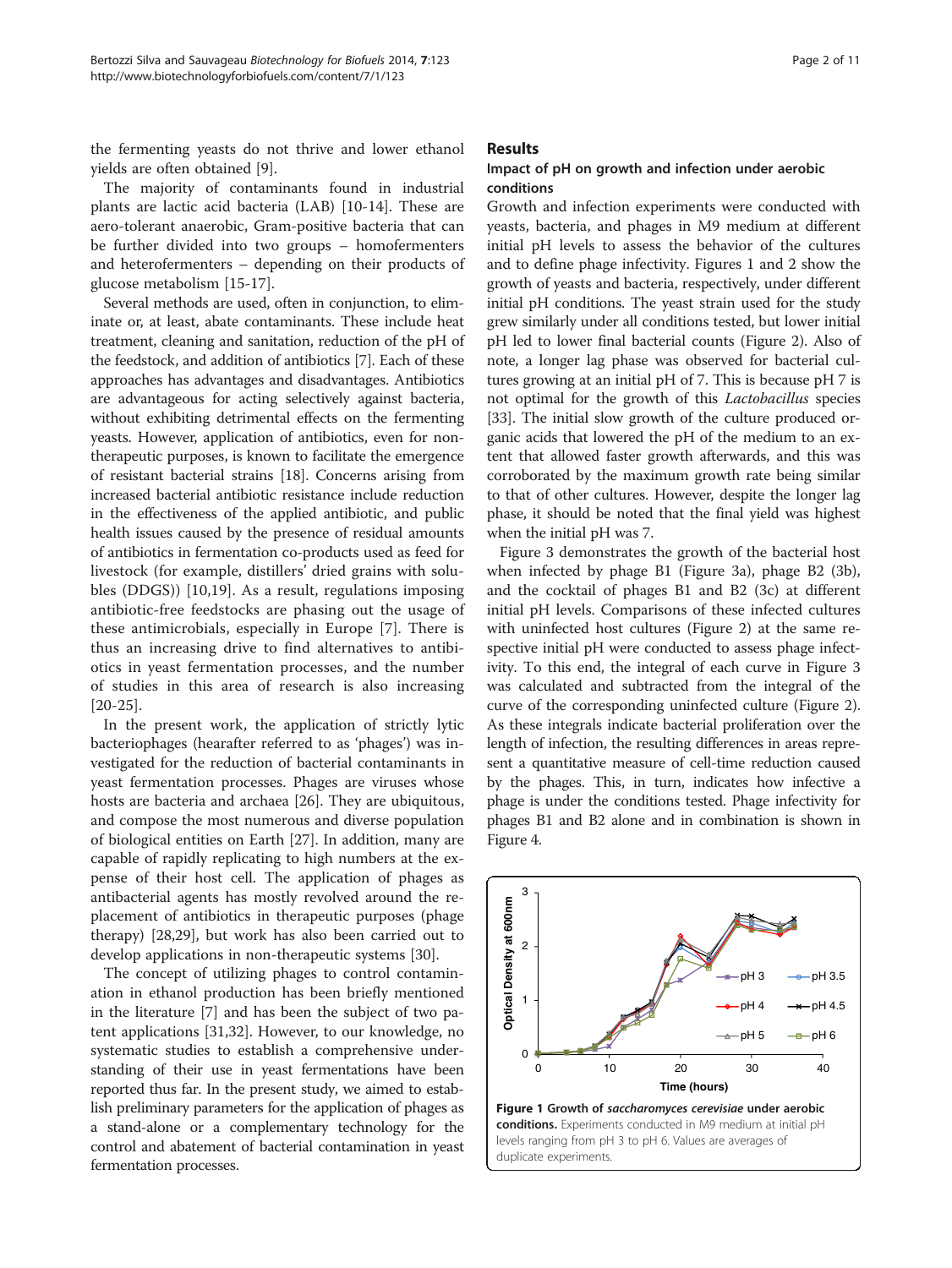<span id="page-1-0"></span>the fermenting yeasts do not thrive and lower ethanol yields are often obtained [\[9](#page-9-0)].

The majority of contaminants found in industrial plants are lactic acid bacteria (LAB) [[10-14](#page-9-0)]. These are aero-tolerant anaerobic, Gram-positive bacteria that can be further divided into two groups – homofermenters and heterofermenters – depending on their products of glucose metabolism [\[15](#page-9-0)-[17\]](#page-9-0).

Several methods are used, often in conjunction, to eliminate or, at least, abate contaminants. These include heat treatment, cleaning and sanitation, reduction of the pH of the feedstock, and addition of antibiotics [[7\]](#page-9-0). Each of these approaches has advantages and disadvantages. Antibiotics are advantageous for acting selectively against bacteria, without exhibiting detrimental effects on the fermenting yeasts. However, application of antibiotics, even for nontherapeutic purposes, is known to facilitate the emergence of resistant bacterial strains [\[18](#page-9-0)]. Concerns arising from increased bacterial antibiotic resistance include reduction in the effectiveness of the applied antibiotic, and public health issues caused by the presence of residual amounts of antibiotics in fermentation co-products used as feed for livestock (for example, distillers' dried grains with solubles (DDGS)) [[10,19](#page-9-0)]. As a result, regulations imposing antibiotic-free feedstocks are phasing out the usage of these antimicrobials, especially in Europe [[7\]](#page-9-0). There is thus an increasing drive to find alternatives to antibiotics in yeast fermentation processes, and the number of studies in this area of research is also increasing [[20-25\]](#page-9-0).

In the present work, the application of strictly lytic bacteriophages (hearafter referred to as 'phages') was investigated for the reduction of bacterial contaminants in yeast fermentation processes. Phages are viruses whose hosts are bacteria and archaea [\[26](#page-9-0)]. They are ubiquitous, and compose the most numerous and diverse population of biological entities on Earth [\[27\]](#page-9-0). In addition, many are capable of rapidly replicating to high numbers at the expense of their host cell. The application of phages as antibacterial agents has mostly revolved around the replacement of antibiotics in therapeutic purposes (phage therapy) [[28](#page-9-0),[29](#page-9-0)], but work has also been carried out to develop applications in non-therapeutic systems [[30\]](#page-9-0).

The concept of utilizing phages to control contamination in ethanol production has been briefly mentioned in the literature [[7](#page-9-0)] and has been the subject of two patent applications [\[31,32\]](#page-9-0). However, to our knowledge, no systematic studies to establish a comprehensive understanding of their use in yeast fermentations have been reported thus far. In the present study, we aimed to establish preliminary parameters for the application of phages as a stand-alone or a complementary technology for the control and abatement of bacterial contamination in yeast fermentation processes.

#### Results

## Impact of pH on growth and infection under aerobic conditions

Growth and infection experiments were conducted with yeasts, bacteria, and phages in M9 medium at different initial pH levels to assess the behavior of the cultures and to define phage infectivity. Figures 1 and [2](#page-2-0) show the growth of yeasts and bacteria, respectively, under different initial pH conditions. The yeast strain used for the study grew similarly under all conditions tested, but lower initial pH led to lower final bacterial counts (Figure [2](#page-2-0)). Also of note, a longer lag phase was observed for bacterial cultures growing at an initial pH of 7. This is because pH 7 is not optimal for the growth of this Lactobacillus species [[33](#page-9-0)]. The initial slow growth of the culture produced organic acids that lowered the pH of the medium to an extent that allowed faster growth afterwards, and this was corroborated by the maximum growth rate being similar to that of other cultures. However, despite the longer lag phase, it should be noted that the final yield was highest when the initial pH was 7.

Figure [3](#page-2-0) demonstrates the growth of the bacterial host when infected by phage B1 (Figure [3a](#page-2-0)), phage B2 (3b), and the cocktail of phages B1 and B2 (3c) at different initial pH levels. Comparisons of these infected cultures with uninfected host cultures (Figure [2](#page-2-0)) at the same respective initial pH were conducted to assess phage infectivity. To this end, the integral of each curve in Figure [3](#page-2-0) was calculated and subtracted from the integral of the curve of the corresponding uninfected culture (Figure [2](#page-2-0)). As these integrals indicate bacterial proliferation over the length of infection, the resulting differences in areas represent a quantitative measure of cell-time reduction caused by the phages. This, in turn, indicates how infective a phage is under the conditions tested. Phage infectivity for phages B1 and B2 alone and in combination is shown in Figure [4.](#page-2-0)

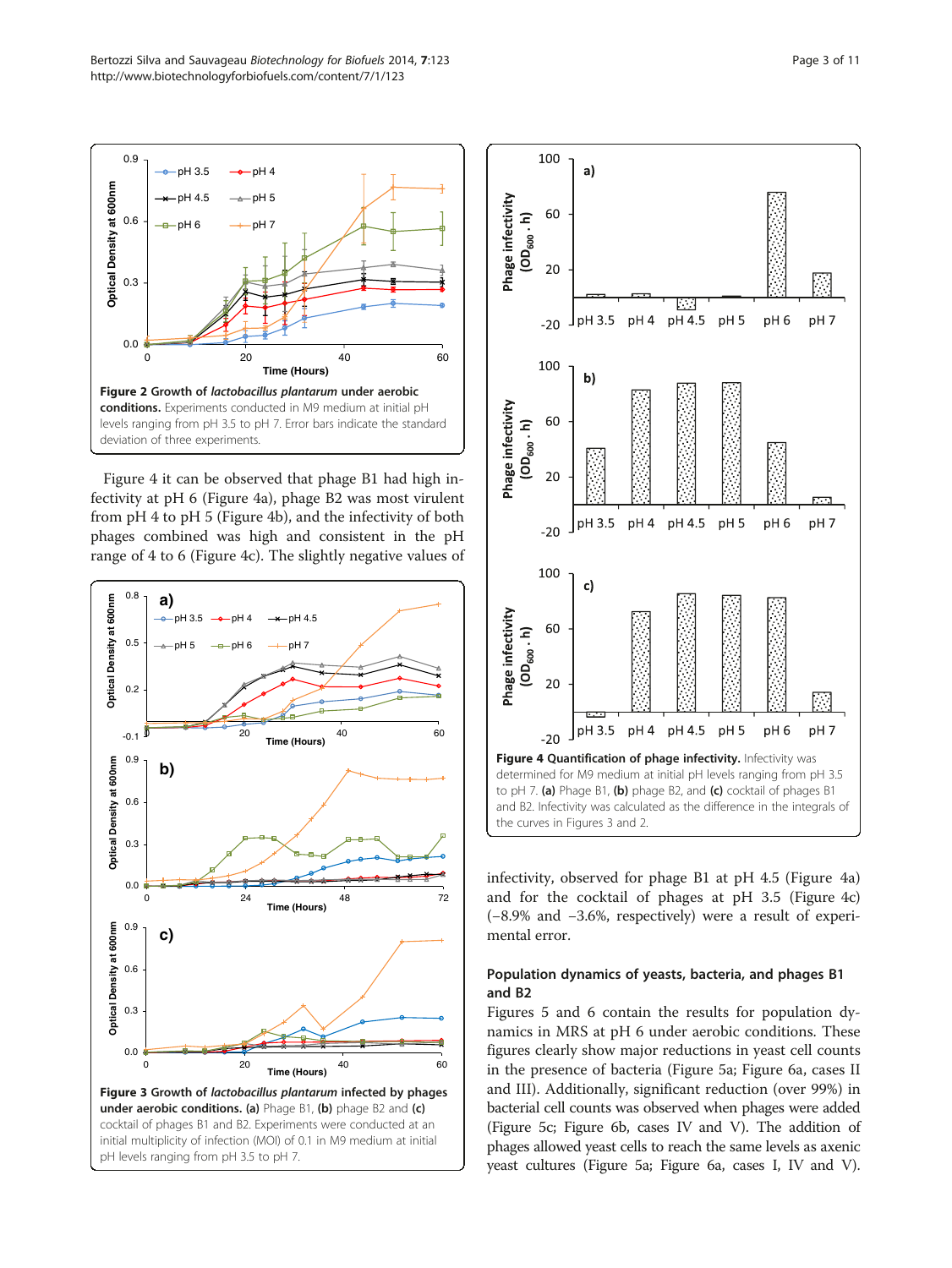Figure 4 it can be observed that phage B1 had high infectivity at pH 6 (Figure 4a), phage B2 was most virulent from pH 4 to pH 5 (Figure 4b), and the infectivity of both phages combined was high and consistent in the pH range of 4 to 6 (Figure 4c). The slightly negative values of

0 20 40 60

**Time (Hours)**

Figure 2 Growth of lactobacillus plantarum under aerobic conditions. Experiments conducted in M9 medium at initial pH levels ranging from pH 3.5 to pH 7. Error bars indicate the standard

0.0

deviation of three experiments.

0.3

0.6

**Optical Density at 600nm**

**Optical Density at 600nm** 

<span id="page-2-0"></span>0.9





infectivity, observed for phage B1 at pH 4.5 (Figure 4a) and for the cocktail of phages at pH 3.5 (Figure 4c) (−8.9% and −3.6%, respectively) were a result of experimental error.

## Population dynamics of yeasts, bacteria, and phages B1 and B2

Figures [5](#page-3-0) and [6](#page-3-0) contain the results for population dynamics in MRS at pH 6 under aerobic conditions. These figures clearly show major reductions in yeast cell counts in the presence of bacteria (Figure [5a](#page-3-0); Figure [6](#page-3-0)a, cases II and III). Additionally, significant reduction (over 99%) in bacterial cell counts was observed when phages were added (Figure [5c](#page-3-0); Figure [6](#page-3-0)b, cases IV and V). The addition of phages allowed yeast cells to reach the same levels as axenic yeast cultures (Figure [5](#page-3-0)a; Figure [6](#page-3-0)a, cases I, IV and V).

 $-pH 3.5 - \rightarrow pH 4$  $pH 4.5 \rightarrow pH 5$  $-bH 6$   $\longrightarrow$   $-bH 7$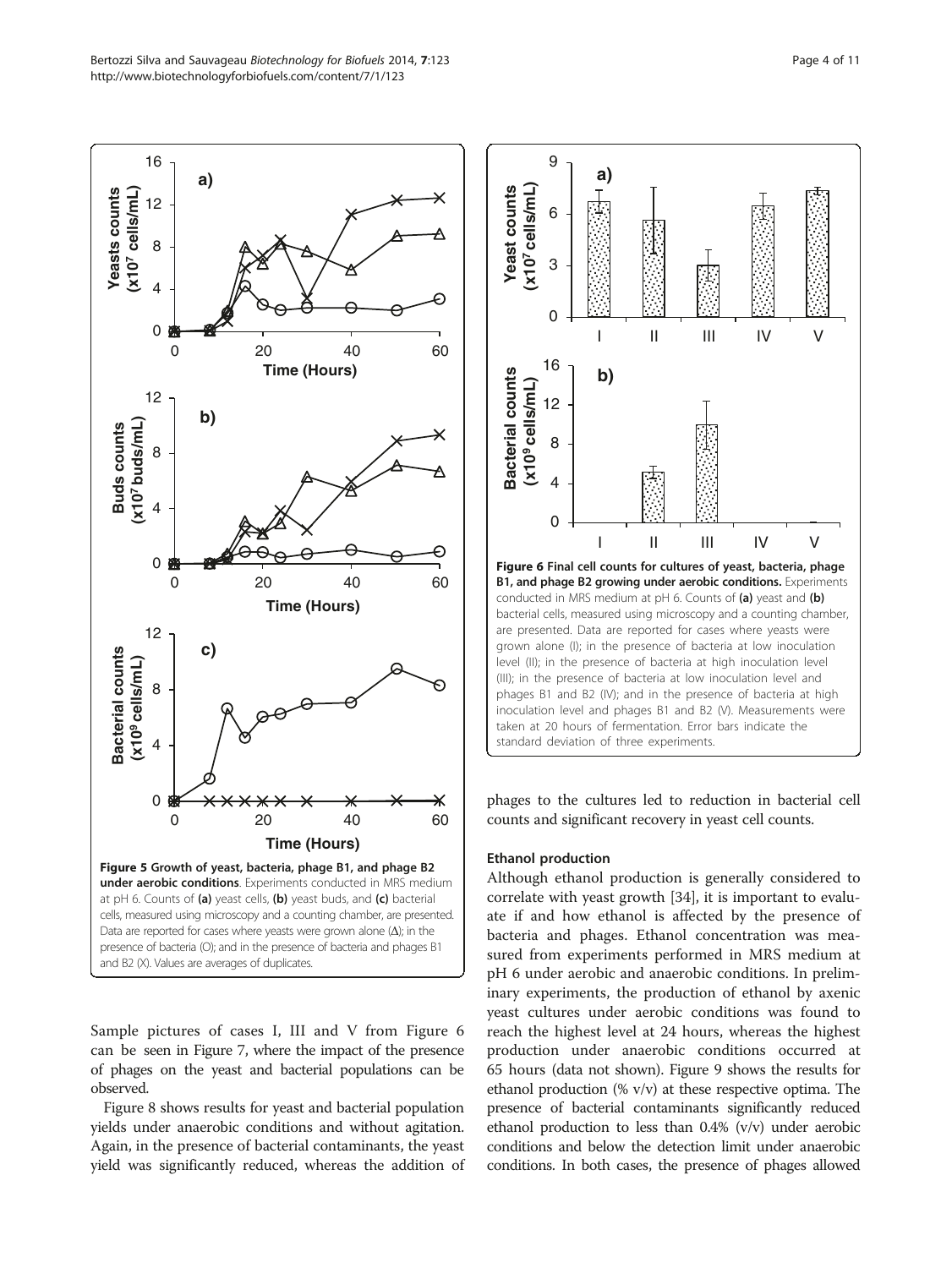<span id="page-3-0"></span>

Sample pictures of cases I, III and V from Figure 6 can be seen in Figure [7](#page-4-0), where the impact of the presence of phages on the yeast and bacterial populations can be observed.

Figure [8](#page-4-0) shows results for yeast and bacterial population yields under anaerobic conditions and without agitation. Again, in the presence of bacterial contaminants, the yeast yield was significantly reduced, whereas the addition of



phages to the cultures led to reduction in bacterial cell counts and significant recovery in yeast cell counts.

#### Ethanol production

Although ethanol production is generally considered to correlate with yeast growth [[34](#page-9-0)], it is important to evaluate if and how ethanol is affected by the presence of bacteria and phages. Ethanol concentration was measured from experiments performed in MRS medium at pH 6 under aerobic and anaerobic conditions. In preliminary experiments, the production of ethanol by axenic yeast cultures under aerobic conditions was found to reach the highest level at 24 hours, whereas the highest production under anaerobic conditions occurred at 65 hours (data not shown). Figure [9](#page-5-0) shows the results for ethanol production (% v/v) at these respective optima. The presence of bacterial contaminants significantly reduced ethanol production to less than 0.4% (v/v) under aerobic conditions and below the detection limit under anaerobic conditions. In both cases, the presence of phages allowed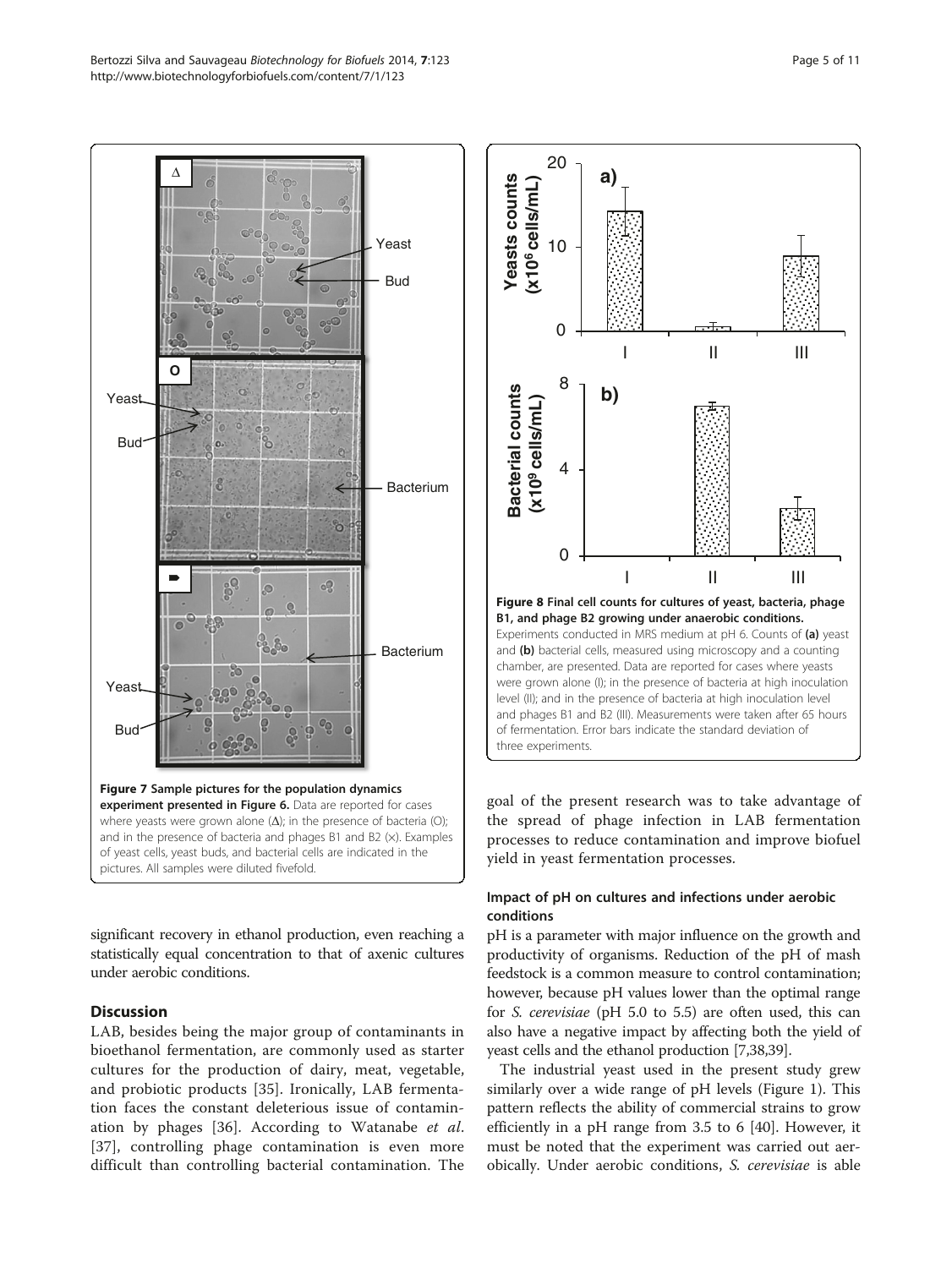<span id="page-4-0"></span>

significant recovery in ethanol production, even reaching a statistically equal concentration to that of axenic cultures under aerobic conditions.

## **Discussion**

LAB, besides being the major group of contaminants in bioethanol fermentation, are commonly used as starter cultures for the production of dairy, meat, vegetable, and probiotic products [[35\]](#page-9-0). Ironically, LAB fermentation faces the constant deleterious issue of contamination by phages [[36\]](#page-9-0). According to Watanabe et al. [[37\]](#page-9-0), controlling phage contamination is even more difficult than controlling bacterial contamination. The



goal of the present research was to take advantage of the spread of phage infection in LAB fermentation processes to reduce contamination and improve biofuel yield in yeast fermentation processes.

## Impact of pH on cultures and infections under aerobic conditions

pH is a parameter with major influence on the growth and productivity of organisms. Reduction of the pH of mash feedstock is a common measure to control contamination; however, because pH values lower than the optimal range for S. cerevisiae (pH 5.0 to 5.5) are often used, this can also have a negative impact by affecting both the yield of yeast cells and the ethanol production [\[7,38,39](#page-9-0)].

The industrial yeast used in the present study grew similarly over a wide range of pH levels (Figure [1\)](#page-1-0). This pattern reflects the ability of commercial strains to grow efficiently in a pH range from 3.5 to 6 [\[40](#page-9-0)]. However, it must be noted that the experiment was carried out aerobically. Under aerobic conditions, S. cerevisiae is able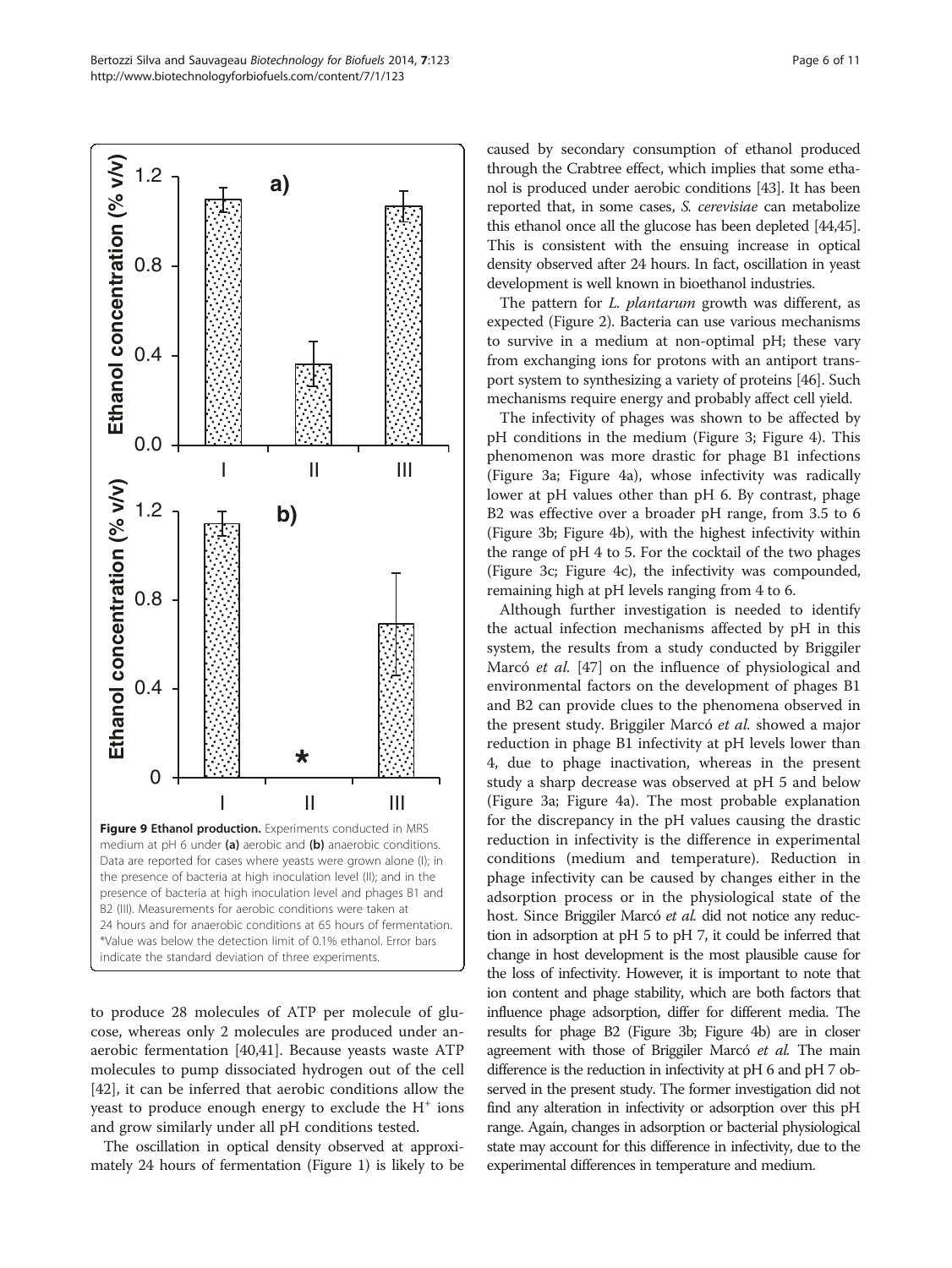<span id="page-5-0"></span>Bertozzi Silva and Sauvageau Biotechnology for Biofuels 2014, 7:123 Page 6 of 11 http://www.biotechnologyforbiofuels.com/content/7/1/123



to produce 28 molecules of ATP per molecule of glucose, whereas only 2 molecules are produced under anaerobic fermentation [\[40,41\]](#page-9-0). Because yeasts waste ATP molecules to pump dissociated hydrogen out of the cell [[42\]](#page-9-0), it can be inferred that aerobic conditions allow the yeast to produce enough energy to exclude the  $H^+$  ions and grow similarly under all pH conditions tested.

The oscillation in optical density observed at approximately 24 hours of fermentation (Figure [1\)](#page-1-0) is likely to be caused by secondary consumption of ethanol produced through the Crabtree effect, which implies that some ethanol is produced under aerobic conditions [\[43\]](#page-9-0). It has been reported that, in some cases, S. cerevisiae can metabolize this ethanol once all the glucose has been depleted [\[44,45](#page-9-0)]. This is consistent with the ensuing increase in optical density observed after 24 hours. In fact, oscillation in yeast development is well known in bioethanol industries.

The pattern for *L. plantarum* growth was different, as expected (Figure [2\)](#page-2-0). Bacteria can use various mechanisms to survive in a medium at non-optimal pH; these vary from exchanging ions for protons with an antiport transport system to synthesizing a variety of proteins [\[46\]](#page-10-0). Such mechanisms require energy and probably affect cell yield.

The infectivity of phages was shown to be affected by pH conditions in the medium (Figure [3](#page-2-0); Figure [4](#page-2-0)). This phenomenon was more drastic for phage B1 infections (Figure [3](#page-2-0)a; Figure [4](#page-2-0)a), whose infectivity was radically lower at pH values other than pH 6. By contrast, phage B2 was effective over a broader pH range, from 3.5 to 6 (Figure [3b](#page-2-0); Figure [4](#page-2-0)b), with the highest infectivity within the range of pH 4 to 5. For the cocktail of the two phages (Figure [3c](#page-2-0); Figure [4c](#page-2-0)), the infectivity was compounded, remaining high at pH levels ranging from 4 to 6.

Although further investigation is needed to identify the actual infection mechanisms affected by pH in this system, the results from a study conducted by Briggiler Marcó et al. [\[47](#page-10-0)] on the influence of physiological and environmental factors on the development of phages B1 and B2 can provide clues to the phenomena observed in the present study. Briggiler Marcó et al. showed a major reduction in phage B1 infectivity at pH levels lower than 4, due to phage inactivation, whereas in the present study a sharp decrease was observed at pH 5 and below (Figure [3](#page-2-0)a; Figure [4](#page-2-0)a). The most probable explanation for the discrepancy in the pH values causing the drastic reduction in infectivity is the difference in experimental conditions (medium and temperature). Reduction in phage infectivity can be caused by changes either in the adsorption process or in the physiological state of the host. Since Briggiler Marcó et al. did not notice any reduction in adsorption at pH 5 to pH 7, it could be inferred that change in host development is the most plausible cause for the loss of infectivity. However, it is important to note that ion content and phage stability, which are both factors that influence phage adsorption, differ for different media. The results for phage B2 (Figure [3](#page-2-0)b; Figure [4b](#page-2-0)) are in closer agreement with those of Briggiler Marcó et al. The main difference is the reduction in infectivity at pH 6 and pH 7 observed in the present study. The former investigation did not find any alteration in infectivity or adsorption over this pH range. Again, changes in adsorption or bacterial physiological state may account for this difference in infectivity, due to the experimental differences in temperature and medium.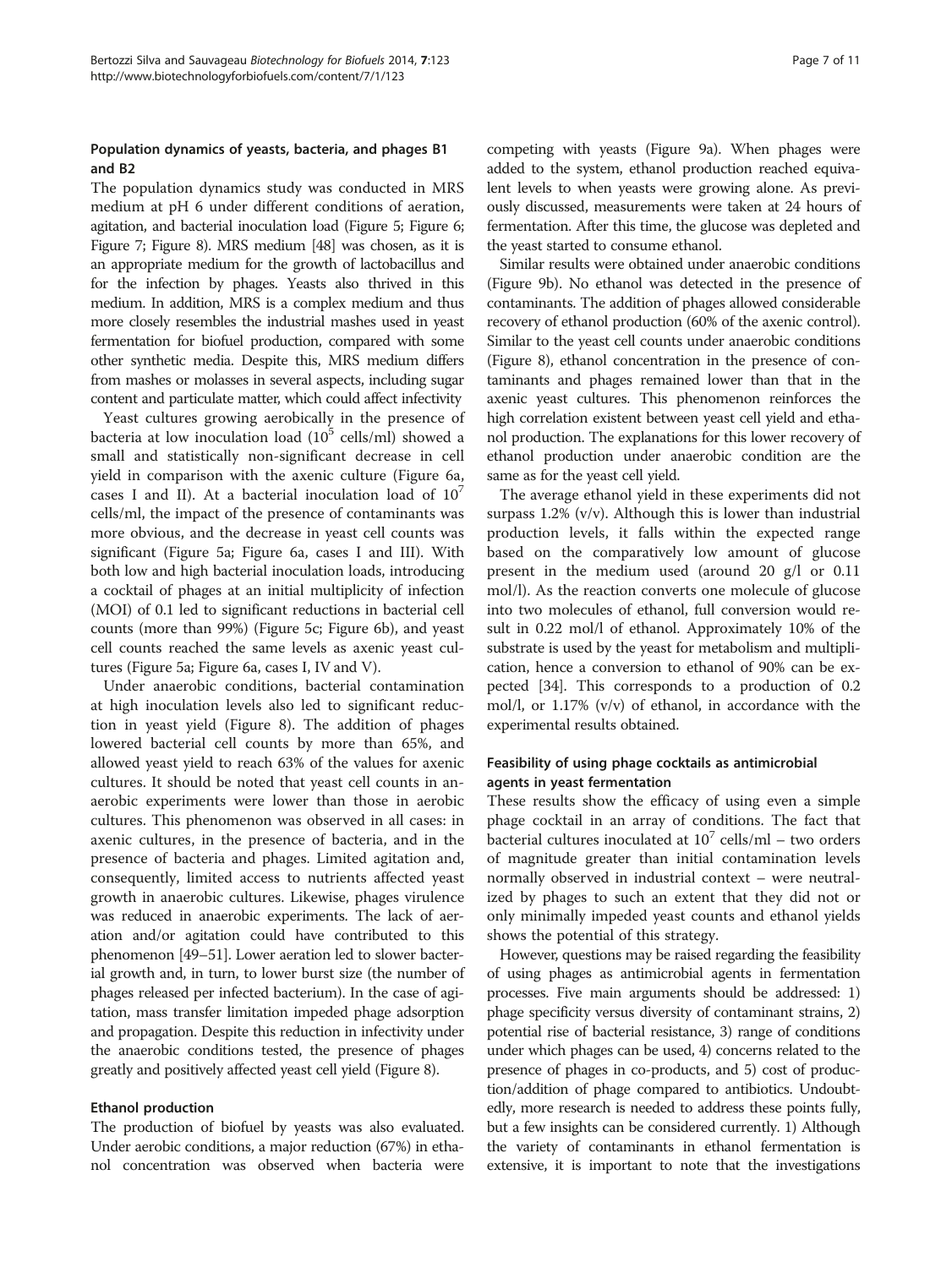#### Population dynamics of yeasts, bacteria, and phages B1 and B2

The population dynamics study was conducted in MRS medium at pH 6 under different conditions of aeration, agitation, and bacterial inoculation load (Figure [5;](#page-3-0) Figure [6](#page-3-0); Figure [7](#page-4-0); Figure [8](#page-4-0)). MRS medium [\[48](#page-10-0)] was chosen, as it is an appropriate medium for the growth of lactobacillus and for the infection by phages. Yeasts also thrived in this medium. In addition, MRS is a complex medium and thus more closely resembles the industrial mashes used in yeast fermentation for biofuel production, compared with some other synthetic media. Despite this, MRS medium differs from mashes or molasses in several aspects, including sugar content and particulate matter, which could affect infectivity

Yeast cultures growing aerobically in the presence of bacteria at low inoculation load  $(10^5 \text{ cells/ml})$  showed a small and statistically non-significant decrease in cell yield in comparison with the axenic culture (Figure [6a](#page-3-0), cases I and II). At a bacterial inoculation load of  $10<sup>7</sup>$ cells/ml, the impact of the presence of contaminants was more obvious, and the decrease in yeast cell counts was significant (Figure [5](#page-3-0)a; Figure [6](#page-3-0)a, cases I and III). With both low and high bacterial inoculation loads, introducing a cocktail of phages at an initial multiplicity of infection (MOI) of 0.1 led to significant reductions in bacterial cell counts (more than 99%) (Figure [5](#page-3-0)c; Figure [6b](#page-3-0)), and yeast cell counts reached the same levels as axenic yeast cultures (Figure [5](#page-3-0)a; Figure [6a](#page-3-0), cases I, IV and V).

Under anaerobic conditions, bacterial contamination at high inoculation levels also led to significant reduction in yeast yield (Figure [8](#page-4-0)). The addition of phages lowered bacterial cell counts by more than 65%, and allowed yeast yield to reach 63% of the values for axenic cultures. It should be noted that yeast cell counts in anaerobic experiments were lower than those in aerobic cultures. This phenomenon was observed in all cases: in axenic cultures, in the presence of bacteria, and in the presence of bacteria and phages. Limited agitation and, consequently, limited access to nutrients affected yeast growth in anaerobic cultures. Likewise, phages virulence was reduced in anaerobic experiments. The lack of aeration and/or agitation could have contributed to this phenomenon [\[49](#page-10-0)–[51\]](#page-10-0). Lower aeration led to slower bacterial growth and, in turn, to lower burst size (the number of phages released per infected bacterium). In the case of agitation, mass transfer limitation impeded phage adsorption and propagation. Despite this reduction in infectivity under the anaerobic conditions tested, the presence of phages greatly and positively affected yeast cell yield (Figure [8\)](#page-4-0).

#### Ethanol production

The production of biofuel by yeasts was also evaluated. Under aerobic conditions, a major reduction (67%) in ethanol concentration was observed when bacteria were competing with yeasts (Figure [9](#page-5-0)a). When phages were added to the system, ethanol production reached equivalent levels to when yeasts were growing alone. As previously discussed, measurements were taken at 24 hours of fermentation. After this time, the glucose was depleted and the yeast started to consume ethanol.

Similar results were obtained under anaerobic conditions (Figure [9b](#page-5-0)). No ethanol was detected in the presence of contaminants. The addition of phages allowed considerable recovery of ethanol production (60% of the axenic control). Similar to the yeast cell counts under anaerobic conditions (Figure [8](#page-4-0)), ethanol concentration in the presence of contaminants and phages remained lower than that in the axenic yeast cultures. This phenomenon reinforces the high correlation existent between yeast cell yield and ethanol production. The explanations for this lower recovery of ethanol production under anaerobic condition are the same as for the yeast cell yield.

The average ethanol yield in these experiments did not surpass 1.2% (v/v). Although this is lower than industrial production levels, it falls within the expected range based on the comparatively low amount of glucose present in the medium used (around 20 g/l or 0.11 mol/l). As the reaction converts one molecule of glucose into two molecules of ethanol, full conversion would result in 0.22 mol/l of ethanol. Approximately 10% of the substrate is used by the yeast for metabolism and multiplication, hence a conversion to ethanol of 90% can be expected [\[34\]](#page-9-0). This corresponds to a production of 0.2 mol/l, or 1.17% (v/v) of ethanol, in accordance with the experimental results obtained.

## Feasibility of using phage cocktails as antimicrobial agents in yeast fermentation

These results show the efficacy of using even a simple phage cocktail in an array of conditions. The fact that bacterial cultures inoculated at  $10^7$  cells/ml – two orders of magnitude greater than initial contamination levels normally observed in industrial context – were neutralized by phages to such an extent that they did not or only minimally impeded yeast counts and ethanol yields shows the potential of this strategy.

However, questions may be raised regarding the feasibility of using phages as antimicrobial agents in fermentation processes. Five main arguments should be addressed: 1) phage specificity versus diversity of contaminant strains, 2) potential rise of bacterial resistance, 3) range of conditions under which phages can be used, 4) concerns related to the presence of phages in co-products, and 5) cost of production/addition of phage compared to antibiotics. Undoubtedly, more research is needed to address these points fully, but a few insights can be considered currently. 1) Although the variety of contaminants in ethanol fermentation is extensive, it is important to note that the investigations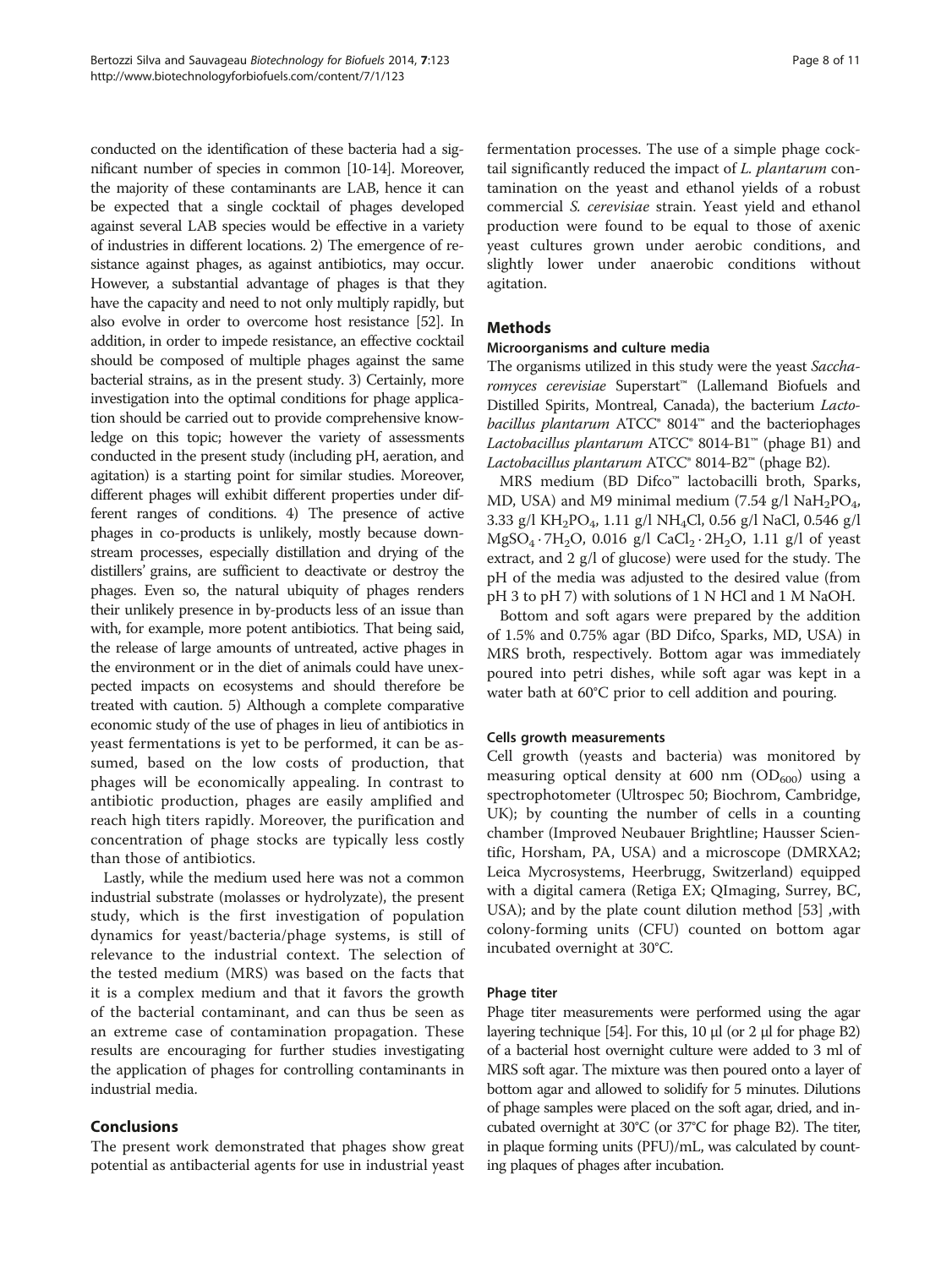conducted on the identification of these bacteria had a significant number of species in common [[10](#page-9-0)-[14](#page-9-0)]. Moreover, the majority of these contaminants are LAB, hence it can be expected that a single cocktail of phages developed against several LAB species would be effective in a variety of industries in different locations. 2) The emergence of resistance against phages, as against antibiotics, may occur. However, a substantial advantage of phages is that they have the capacity and need to not only multiply rapidly, but also evolve in order to overcome host resistance [\[52\]](#page-10-0). In addition, in order to impede resistance, an effective cocktail should be composed of multiple phages against the same bacterial strains, as in the present study. 3) Certainly, more investigation into the optimal conditions for phage application should be carried out to provide comprehensive knowledge on this topic; however the variety of assessments conducted in the present study (including pH, aeration, and agitation) is a starting point for similar studies. Moreover, different phages will exhibit different properties under different ranges of conditions. 4) The presence of active phages in co-products is unlikely, mostly because downstream processes, especially distillation and drying of the distillers' grains, are sufficient to deactivate or destroy the phages. Even so, the natural ubiquity of phages renders their unlikely presence in by-products less of an issue than with, for example, more potent antibiotics. That being said, the release of large amounts of untreated, active phages in the environment or in the diet of animals could have unexpected impacts on ecosystems and should therefore be treated with caution. 5) Although a complete comparative economic study of the use of phages in lieu of antibiotics in yeast fermentations is yet to be performed, it can be assumed, based on the low costs of production, that phages will be economically appealing. In contrast to antibiotic production, phages are easily amplified and reach high titers rapidly. Moreover, the purification and concentration of phage stocks are typically less costly than those of antibiotics.

Lastly, while the medium used here was not a common industrial substrate (molasses or hydrolyzate), the present study, which is the first investigation of population dynamics for yeast/bacteria/phage systems, is still of relevance to the industrial context. The selection of the tested medium (MRS) was based on the facts that it is a complex medium and that it favors the growth of the bacterial contaminant, and can thus be seen as an extreme case of contamination propagation. These results are encouraging for further studies investigating the application of phages for controlling contaminants in industrial media.

## Conclusions

The present work demonstrated that phages show great potential as antibacterial agents for use in industrial yeast fermentation processes. The use of a simple phage cocktail significantly reduced the impact of L. plantarum contamination on the yeast and ethanol yields of a robust commercial S. cerevisiae strain. Yeast yield and ethanol production were found to be equal to those of axenic yeast cultures grown under aerobic conditions, and slightly lower under anaerobic conditions without agitation.

## Methods

## Microorganisms and culture media

The organisms utilized in this study were the yeast Saccharomyces cerevisiae Superstart™ (Lallemand Biofuels and Distilled Spirits, Montreal, Canada), the bacterium Lacto*bacillus plantarum* ATCC<sup>®</sup> 8014<sup>™</sup> and the bacteriophages Lactobacillus plantarum  $ATCC^{\circ}$  8014-B1<sup>™</sup> (phage B1) and Lactobacillus plantarum ATCC® 8014-B2™ (phage B2).

MRS medium (BD Difco™ lactobacilli broth, Sparks, MD, USA) and M9 minimal medium (7.54 g/l NaH<sub>2</sub>PO<sub>4</sub>, 3.33 g/l KH2PO4, 1.11 g/l NH4Cl, 0.56 g/l NaCl, 0.546 g/l  $MgSO_4 \tcdot 7H_2O$ , 0.016 g/l CaCl<sub>2</sub> · 2H<sub>2</sub>O, 1.11 g/l of yeast extract, and 2 g/l of glucose) were used for the study. The pH of the media was adjusted to the desired value (from pH 3 to pH 7) with solutions of 1 N HCl and 1 M NaOH.

Bottom and soft agars were prepared by the addition of 1.5% and 0.75% agar (BD Difco, Sparks, MD, USA) in MRS broth, respectively. Bottom agar was immediately poured into petri dishes, while soft agar was kept in a water bath at 60°C prior to cell addition and pouring.

## Cells growth measurements

Cell growth (yeasts and bacteria) was monitored by measuring optical density at 600 nm  $(OD_{600})$  using a spectrophotometer (Ultrospec 50; Biochrom, Cambridge, UK); by counting the number of cells in a counting chamber (Improved Neubauer Brightline; Hausser Scientific, Horsham, PA, USA) and a microscope (DMRXA2; Leica Mycrosystems, Heerbrugg, Switzerland) equipped with a digital camera (Retiga EX; QImaging, Surrey, BC, USA); and by the plate count dilution method [\[53](#page-10-0)] ,with colony-forming units (CFU) counted on bottom agar incubated overnight at 30°C.

## Phage titer

Phage titer measurements were performed using the agar layering technique [\[54\]](#page-10-0). For this, 10 μl (or 2 μl for phage B2) of a bacterial host overnight culture were added to 3 ml of MRS soft agar. The mixture was then poured onto a layer of bottom agar and allowed to solidify for 5 minutes. Dilutions of phage samples were placed on the soft agar, dried, and incubated overnight at 30°C (or 37°C for phage B2). The titer, in plaque forming units (PFU)/mL, was calculated by counting plaques of phages after incubation.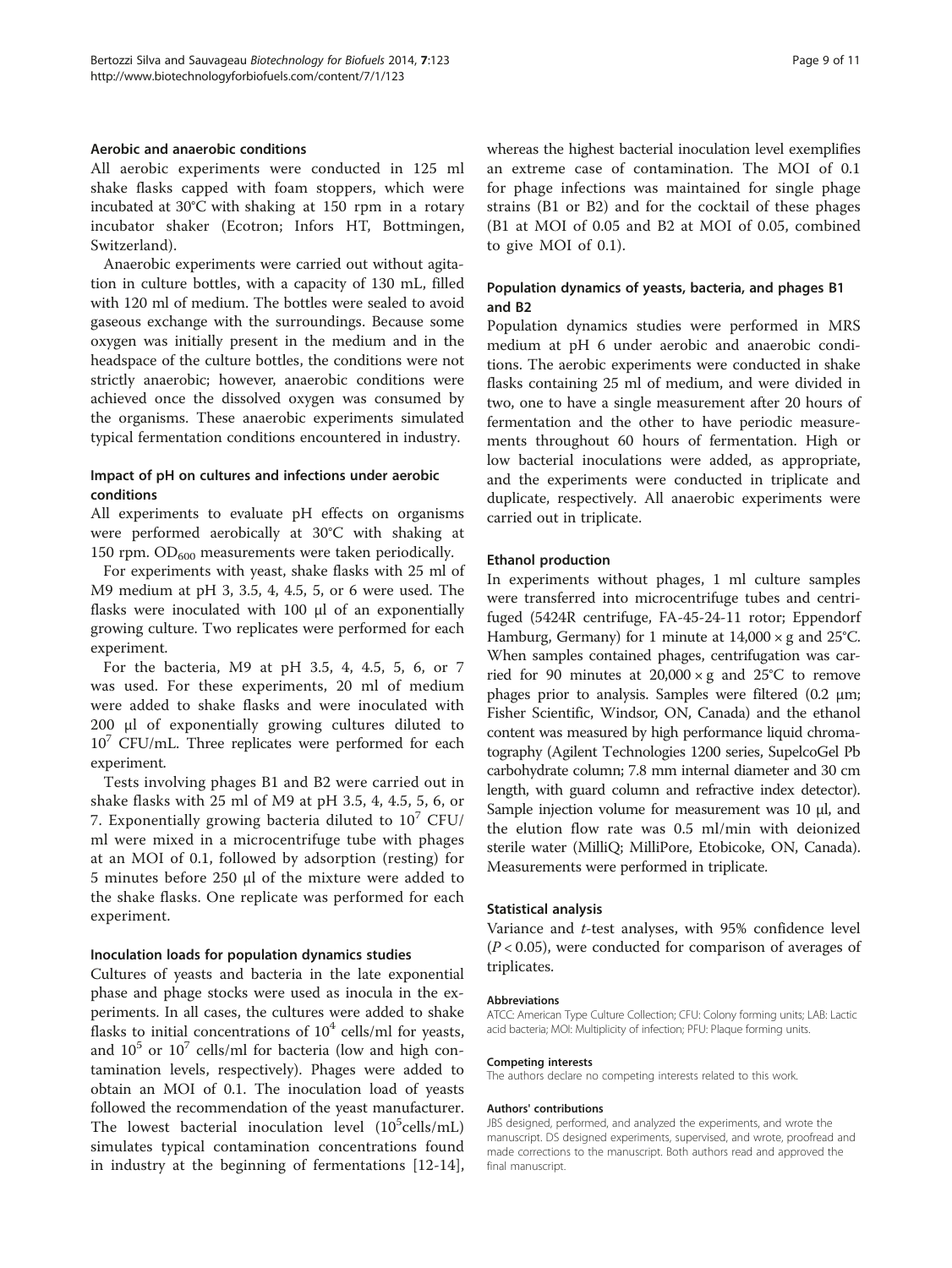#### Aerobic and anaerobic conditions

All aerobic experiments were conducted in 125 ml shake flasks capped with foam stoppers, which were incubated at 30°C with shaking at 150 rpm in a rotary incubator shaker (Ecotron; Infors HT, Bottmingen, Switzerland).

Anaerobic experiments were carried out without agitation in culture bottles, with a capacity of 130 mL, filled with 120 ml of medium. The bottles were sealed to avoid gaseous exchange with the surroundings. Because some oxygen was initially present in the medium and in the headspace of the culture bottles, the conditions were not strictly anaerobic; however, anaerobic conditions were achieved once the dissolved oxygen was consumed by the organisms. These anaerobic experiments simulated typical fermentation conditions encountered in industry.

#### Impact of pH on cultures and infections under aerobic conditions

All experiments to evaluate pH effects on organisms were performed aerobically at 30°C with shaking at 150 rpm.  $OD<sub>600</sub>$  measurements were taken periodically.

For experiments with yeast, shake flasks with 25 ml of M9 medium at pH 3, 3.5, 4, 4.5, 5, or 6 were used. The flasks were inoculated with 100 μl of an exponentially growing culture. Two replicates were performed for each experiment.

For the bacteria, M9 at pH 3.5, 4, 4.5, 5, 6, or 7 was used. For these experiments, 20 ml of medium were added to shake flasks and were inoculated with 200 μl of exponentially growing cultures diluted to  $10<sup>7</sup>$  CFU/mL. Three replicates were performed for each experiment.

Tests involving phages B1 and B2 were carried out in shake flasks with 25 ml of M9 at pH 3.5, 4, 4.5, 5, 6, or 7. Exponentially growing bacteria diluted to  $10^7$  CFU/ ml were mixed in a microcentrifuge tube with phages at an MOI of 0.1, followed by adsorption (resting) for 5 minutes before 250 μl of the mixture were added to the shake flasks. One replicate was performed for each experiment.

#### Inoculation loads for population dynamics studies

Cultures of yeasts and bacteria in the late exponential phase and phage stocks were used as inocula in the experiments. In all cases, the cultures were added to shake flasks to initial concentrations of  $10<sup>4</sup>$  cells/ml for yeasts, and  $10^5$  or  $10^7$  cells/ml for bacteria (low and high contamination levels, respectively). Phages were added to obtain an MOI of 0.1. The inoculation load of yeasts followed the recommendation of the yeast manufacturer. The lowest bacterial inoculation level (10<sup>5</sup>cells/mL) simulates typical contamination concentrations found in industry at the beginning of fermentations [\[12-14](#page-9-0)],

whereas the highest bacterial inoculation level exemplifies an extreme case of contamination. The MOI of 0.1 for phage infections was maintained for single phage strains (B1 or B2) and for the cocktail of these phages (B1 at MOI of 0.05 and B2 at MOI of 0.05, combined to give MOI of 0.1).

## Population dynamics of yeasts, bacteria, and phages B1 and B2

Population dynamics studies were performed in MRS medium at pH 6 under aerobic and anaerobic conditions. The aerobic experiments were conducted in shake flasks containing 25 ml of medium, and were divided in two, one to have a single measurement after 20 hours of fermentation and the other to have periodic measurements throughout 60 hours of fermentation. High or low bacterial inoculations were added, as appropriate, and the experiments were conducted in triplicate and duplicate, respectively. All anaerobic experiments were carried out in triplicate.

#### Ethanol production

In experiments without phages, 1 ml culture samples were transferred into microcentrifuge tubes and centrifuged (5424R centrifuge, FA-45-24-11 rotor; Eppendorf Hamburg, Germany) for 1 minute at  $14,000 \times g$  and  $25^{\circ}$ C. When samples contained phages, centrifugation was carried for 90 minutes at  $20,000 \times g$  and  $25^{\circ}$ C to remove phages prior to analysis. Samples were filtered (0.2 μm; Fisher Scientific, Windsor, ON, Canada) and the ethanol content was measured by high performance liquid chromatography (Agilent Technologies 1200 series, SupelcoGel Pb carbohydrate column; 7.8 mm internal diameter and 30 cm length, with guard column and refractive index detector). Sample injection volume for measurement was 10 μl, and the elution flow rate was 0.5 ml/min with deionized sterile water (MilliQ; MilliPore, Etobicoke, ON, Canada). Measurements were performed in triplicate.

#### Statistical analysis

Variance and t-test analyses, with 95% confidence level  $(P<0.05)$ , were conducted for comparison of averages of triplicates.

#### Abbreviations

ATCC: American Type Culture Collection; CFU: Colony forming units; LAB: Lactic acid bacteria; MOI: Multiplicity of infection; PFU: Plaque forming units.

#### Competing interests

The authors declare no competing interests related to this work.

#### Authors' contributions

JBS designed, performed, and analyzed the experiments, and wrote the manuscript. DS designed experiments, supervised, and wrote, proofread and made corrections to the manuscript. Both authors read and approved the final manuscript.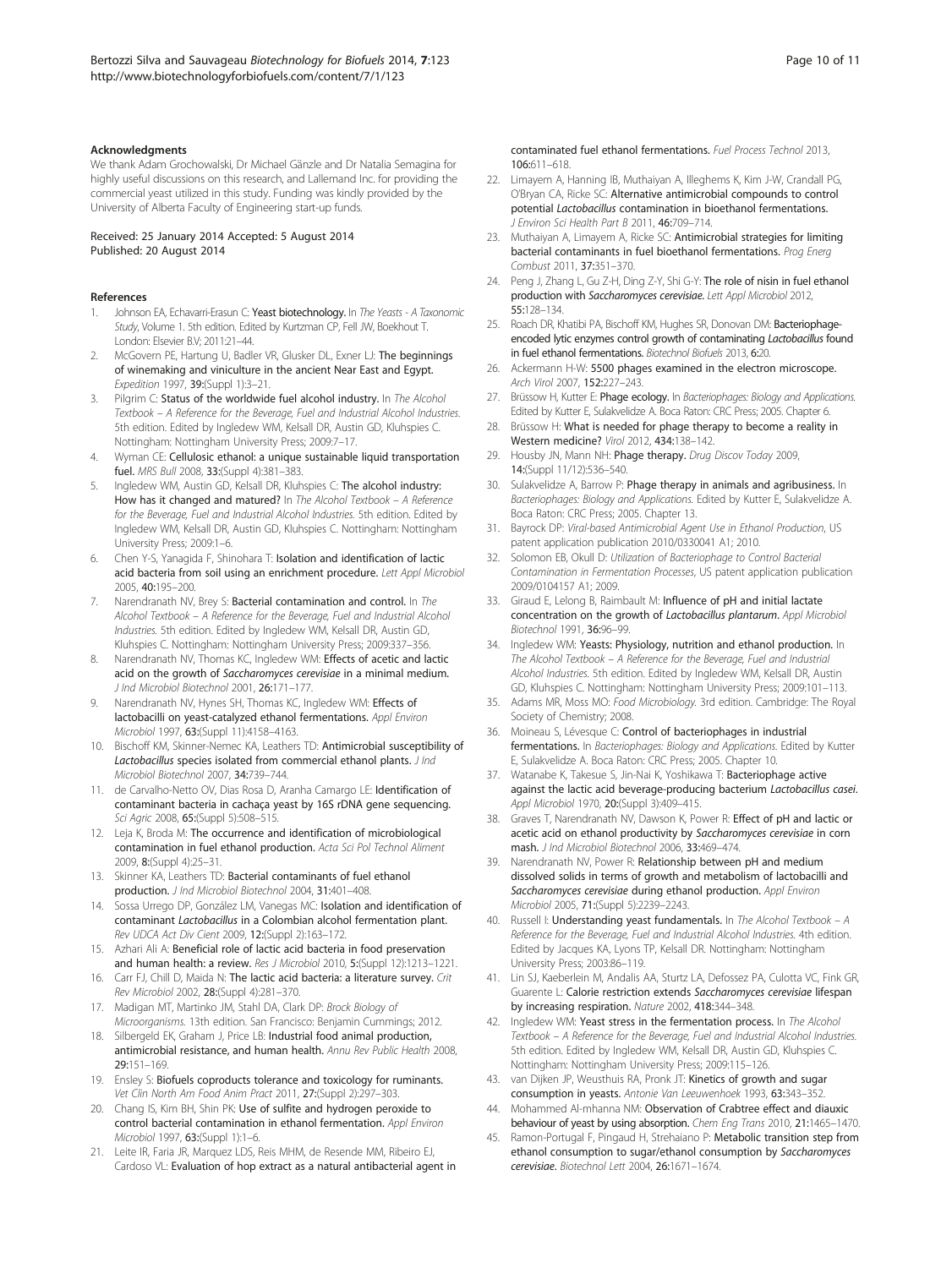#### <span id="page-9-0"></span>Acknowledgments

We thank Adam Grochowalski, Dr Michael Gӓnzle and Dr Natalia Semagina for highly useful discussions on this research, and Lallemand Inc. for providing the commercial yeast utilized in this study. Funding was kindly provided by the University of Alberta Faculty of Engineering start-up funds.

Received: 25 January 2014 Accepted: 5 August 2014 Published: 20 August 2014

#### References

- Johnson EA, Echavarri-Erasun C: Yeast biotechnology. In The Yeasts A Taxonomic Study, Volume 1. 5th edition. Edited by Kurtzman CP, Fell JW, Boekhout T. London: Elsevier B.V; 2011:21–44.
- 2. McGovern PE, Hartung U, Badler VR, Glusker DL, Exner LJ: The beginnings of winemaking and viniculture in the ancient Near East and Egypt. Expedition 1997, 39:(Suppl 1):3–21.
- Pilgrim C: Status of the worldwide fuel alcohol industry. In The Alcohol Textbook – A Reference for the Beverage, Fuel and Industrial Alcohol Industries. 5th edition. Edited by Ingledew WM, Kelsall DR, Austin GD, Kluhspies C. Nottingham: Nottingham University Press; 2009:7–17.
- 4. Wyman CE: Cellulosic ethanol: a unique sustainable liquid transportation fuel. MRS Bull 2008, 33:(Suppl 4):381–383.
- Ingledew WM, Austin GD, Kelsall DR, Kluhspies C: The alcohol industry: How has it changed and matured? In The Alcohol Textbook - A Reference for the Beverage, Fuel and Industrial Alcohol Industries. 5th edition. Edited by Ingledew WM, Kelsall DR, Austin GD, Kluhspies C. Nottingham: Nottingham University Press; 2009:1–6.
- 6. Chen Y-S, Yanagida F, Shinohara T: Isolation and identification of lactic acid bacteria from soil using an enrichment procedure. Lett Appl Microbiol 2005, 40:195–200.
- 7. Narendranath NV, Brey S: Bacterial contamination and control. In The Alcohol Textbook – A Reference for the Beverage, Fuel and Industrial Alcohol Industries. 5th edition. Edited by Ingledew WM, Kelsall DR, Austin GD, Kluhspies C. Nottingham: Nottingham University Press; 2009:337–356.
- Narendranath NV, Thomas KC, Ingledew WM: Effects of acetic and lactic acid on the growth of Saccharomyces cerevisiae in a minimal medium. J Ind Microbiol Biotechnol 2001, 26:171–177.
- Narendranath NV, Hynes SH, Thomas KC, Ingledew WM: Effects of lactobacilli on yeast-catalyzed ethanol fermentations. Appl Environ Microbiol 1997, 63:(Suppl 11):4158–4163.
- 10. Bischoff KM, Skinner-Nemec KA, Leathers TD: Antimicrobial susceptibility of Lactobacillus species isolated from commercial ethanol plants. J Ind Microbiol Biotechnol 2007, 34:739–744.
- 11. de Carvalho-Netto OV, Dias Rosa D, Aranha Camargo LE: Identification of contaminant bacteria in cachaça yeast by 16S rDNA gene sequencing. Sci Agric 2008, 65: (Suppl 5): 508-515.
- 12. Leja K, Broda M: The occurrence and identification of microbiological contamination in fuel ethanol production. Acta Sci Pol Technol Aliment 2009, 8:(Suppl 4):25–31.
- 13. Skinner KA, Leathers TD: Bacterial contaminants of fuel ethanol production. J Ind Microbiol Biotechnol 2004, 31:401–408.
- 14. Sossa Urrego DP, González LM, Vanegas MC: Isolation and identification of contaminant Lactobacillus in a Colombian alcohol fermentation plant. Rev UDCA Act Div Cient 2009, 12:(Suppl 2):163–172.
- 15. Azhari Ali A: Beneficial role of lactic acid bacteria in food preservation and human health: a review. Res J Microbiol 2010, 5: (Suppl 12): 1213-1221.
- 16. Carr FJ, Chill D, Maida N: The lactic acid bacteria: a literature survey. Crit Rev Microbiol 2002, 28:(Suppl 4):281–370.
- 17. Madigan MT, Martinko JM, Stahl DA, Clark DP: Brock Biology of Microorganisms. 13th edition. San Francisco: Benjamin Cummings; 2012.
- 18. Silbergeld EK, Graham J, Price LB: Industrial food animal production, antimicrobial resistance, and human health. Annu Rev Public Health 2008, 29:151–169.
- 19. Ensley S: Biofuels coproducts tolerance and toxicology for ruminants. Vet Clin North Am Food Anim Pract 2011, 27:(Suppl 2):297–303.
- 20. Chang IS, Kim BH, Shin PK: Use of sulfite and hydrogen peroxide to control bacterial contamination in ethanol fermentation. Appl Environ Microbiol 1997, 63:(Suppl 1):1–6.
- 21. Leite IR, Faria JR, Marquez LDS, Reis MHM, de Resende MM, Ribeiro EJ, Cardoso VL: Evaluation of hop extract as a natural antibacterial agent in

contaminated fuel ethanol fermentations. Fuel Process Technol 2013, 106:611–618.

- 22. Limayem A, Hanning IB, Muthaiyan A, Illeghems K, Kim J-W, Crandall PG, O'Bryan CA, Ricke SC: Alternative antimicrobial compounds to control potential Lactobacillus contamination in bioethanol fermentations. J Environ Sci Health Part B 2011, 46:709–714.
- 23. Muthaiyan A, Limayem A, Ricke SC: **Antimicrobial strategies for limiting** bacterial contaminants in fuel bioethanol fermentations. Prog Energ Combust 2011, 37:351–370.
- 24. Peng J, Zhang L, Gu Z-H, Ding Z-Y, Shi G-Y: The role of nisin in fuel ethanol production with Saccharomyces cerevisiae. Lett Appl Microbiol 2012, 55:128–134.
- 25. Roach DR, Khatibi PA, Bischoff KM, Hughes SR, Donovan DM: Bacteriophageencoded lytic enzymes control growth of contaminating Lactobacillus found in fuel ethanol fermentations. Biotechnol Biofuels 2013, 6:20.
- 26. Ackermann H-W: 5500 phages examined in the electron microscope. Arch Virol 2007, 152:227–243.
- 27. Brüssow H, Kutter E: Phage ecology. In Bacteriophages: Biology and Applications. Edited by Kutter E, Sulakvelidze A. Boca Raton: CRC Press; 2005. Chapter 6.
- 28. Brüssow H: What is needed for phage therapy to become a reality in Western medicine? Virol 2012, 434:138–142.
- 29. Housby JN, Mann NH: Phage therapy. Drug Discov Today 2009, 14:(Suppl 11/12):536–540.
- 30. Sulakvelidze A, Barrow P: Phage therapy in animals and agribusiness. In Bacteriophages: Biology and Applications. Edited by Kutter E, Sulakvelidze A. Boca Raton: CRC Press; 2005. Chapter 13.
- 31. Bayrock DP: Viral-based Antimicrobial Agent Use in Ethanol Production, US patent application publication 2010/0330041 A1; 2010.
- 32. Solomon EB, Okull D: Utilization of Bacteriophage to Control Bacterial Contamination in Fermentation Processes, US patent application publication 2009/0104157 A1; 2009.
- 33. Giraud E, Lelong B, Raimbault M: Influence of pH and initial lactate concentration on the growth of Lactobacillus plantarum. Appl Microbiol Biotechnol 1991, 36:96–99.
- 34. Ingledew WM: Yeasts: Physiology, nutrition and ethanol production. In The Alcohol Textbook – A Reference for the Beverage, Fuel and Industrial Alcohol Industries. 5th edition. Edited by Ingledew WM, Kelsall DR, Austin GD, Kluhspies C. Nottingham: Nottingham University Press; 2009:101–113.
- 35. Adams MR, Moss MO: Food Microbiology. 3rd edition. Cambridge: The Royal Society of Chemistry; 2008.
- 36. Moineau S, Lévesque C: Control of bacteriophages in industrial fermentations. In Bacteriophages: Biology and Applications. Edited by Kutter E, Sulakvelidze A. Boca Raton: CRC Press; 2005. Chapter 10.
- 37. Watanabe K, Takesue S, Jin-Nai K, Yoshikawa T: Bacteriophage active against the lactic acid beverage-producing bacterium Lactobacillus casei. Appl Microbiol 1970, 20: (Suppl 3): 409-415.
- 38. Graves T, Narendranath NV, Dawson K, Power R: Effect of pH and lactic or acetic acid on ethanol productivity by Saccharomyces cerevisiae in corn mash. J Ind Microbiol Biotechnol 2006, 33:469–474.
- 39. Narendranath NV, Power R: Relationship between pH and medium dissolved solids in terms of growth and metabolism of lactobacilli and Saccharomyces cerevisiae during ethanol production. Appl Environ Microbiol 2005, 71:(Suppl 5):2239–2243.
- 40. Russell I: Understanding yeast fundamentals. In The Alcohol Textbook A Reference for the Beverage, Fuel and Industrial Alcohol Industries. 4th edition. Edited by Jacques KA, Lyons TP, Kelsall DR. Nottingham: Nottingham University Press; 2003:86–119.
- 41. Lin SJ, Kaeberlein M, Andalis AA, Sturtz LA, Defossez PA, Culotta VC, Fink GR, Guarente L: Calorie restriction extends Saccharomyces cerevisiae lifespan by increasing respiration. Nature 2002, 418:344–348.
- 42. Ingledew WM: Yeast stress in the fermentation process. In The Alcohol Textbook – A Reference for the Beverage, Fuel and Industrial Alcohol Industries. 5th edition. Edited by Ingledew WM, Kelsall DR, Austin GD, Kluhspies C. Nottingham: Nottingham University Press; 2009:115–126.
- 43. van Dijken JP, Weusthuis RA, Pronk JT: Kinetics of growth and sugar consumption in yeasts. Antonie Van Leeuwenhoek 1993, 63:343–352.
- 44. Mohammed Al-mhanna NM: Observation of Crabtree effect and diauxic behaviour of yeast by using absorption. Chem Eng Trans 2010, 21:1465–1470.
- 45. Ramon-Portugal F, Pingaud H, Strehaiano P: Metabolic transition step from ethanol consumption to sugar/ethanol consumption by Saccharomyces cerevisiae. Biotechnol Lett 2004, 26:1671–1674.